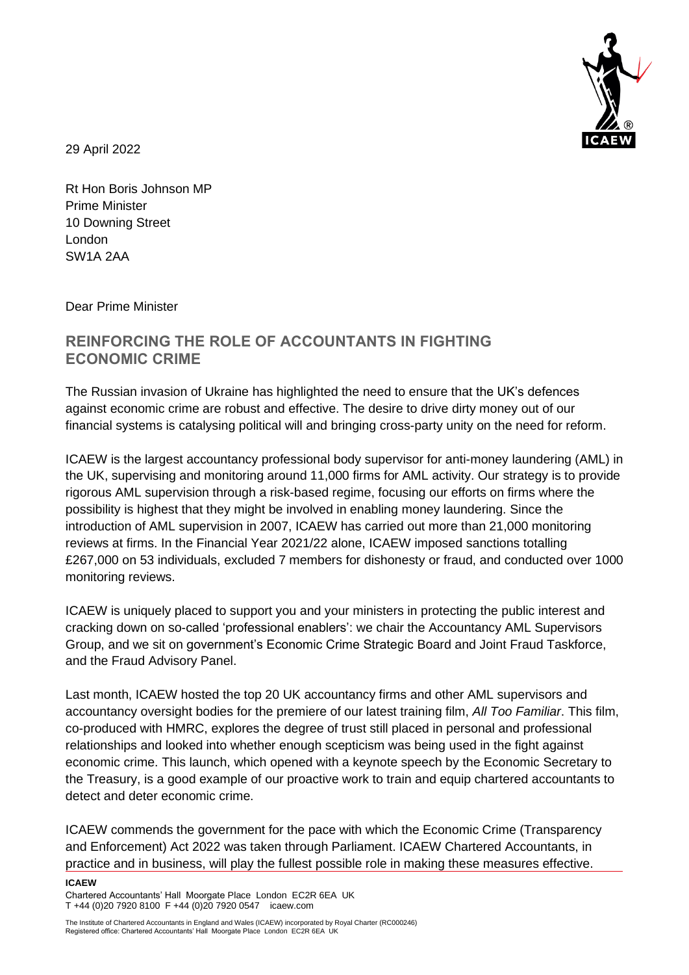

29 April 2022

Rt Hon Boris Johnson MP Prime Minister 10 Downing Street London SW1A 2AA

Dear Prime Minister

## **REINFORCING THE ROLE OF ACCOUNTANTS IN FIGHTING ECONOMIC CRIME**

The Russian invasion of Ukraine has highlighted the need to ensure that the UK's defences against economic crime are robust and effective. The desire to drive dirty money out of our financial systems is catalysing political will and bringing cross-party unity on the need for reform.

ICAEW is the largest accountancy professional body supervisor for anti-money laundering (AML) in the UK, supervising and monitoring around 11,000 firms for AML activity. Our strategy is to provide rigorous AML supervision through a risk-based regime, focusing our efforts on firms where the possibility is highest that they might be involved in enabling money laundering. Since the introduction of AML supervision in 2007, ICAEW has carried out more than 21,000 monitoring reviews at firms. In the Financial Year 2021/22 alone, ICAEW imposed sanctions totalling £267,000 on 53 individuals, excluded 7 members for dishonesty or fraud, and conducted over 1000 monitoring reviews.

ICAEW is uniquely placed to support you and your ministers in protecting the public interest and cracking down on so-called 'professional enablers': we chair the Accountancy AML Supervisors Group, and we sit on government's Economic Crime Strategic Board and Joint Fraud Taskforce, and the Fraud Advisory Panel.

Last month, ICAEW hosted the top 20 UK accountancy firms and other AML supervisors and accountancy oversight bodies for the premiere of our latest training film, *All Too Familiar*. This film, co-produced with HMRC, explores the degree of trust still placed in personal and professional relationships and looked into whether enough scepticism was being used in the fight against economic crime. This launch, which opened with a keynote speech by the Economic Secretary to the Treasury, is a good example of our proactive work to train and equip chartered accountants to detect and deter economic crime.

ICAEW commends the government for the pace with which the Economic Crime (Transparency and Enforcement) Act 2022 was taken through Parliament. ICAEW Chartered Accountants, in practice and in business, will play the fullest possible role in making these measures effective.

**ICAEW**  Chartered Accountants' Hall Moorgate Place London EC2R 6EA UK T +44 (0)20 7920 8100 F +44 (0)20 7920 0547 icaew.com

The Institute of Chartered Accountants in England and Wales (ICAEW) incorporated by Royal Charter (RC000246) Registered office: Chartered Accountants' Hall Moorgate Place London EC2R 6EA UK